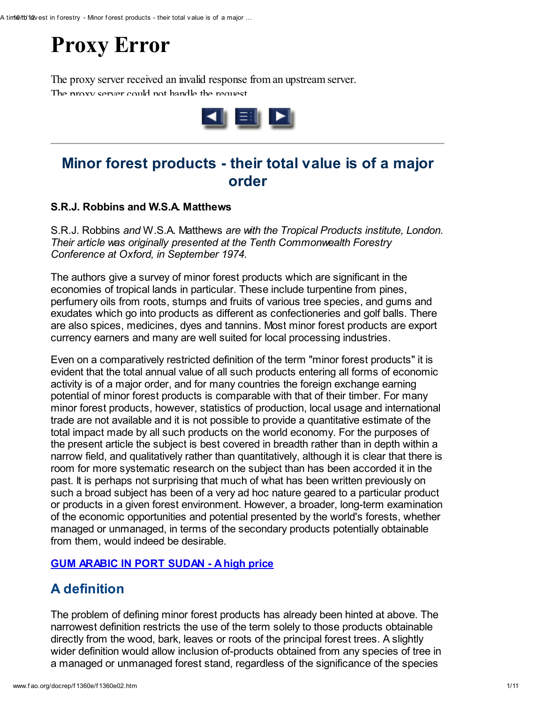# Proxy Error

The proxy server received an invalid response from an upstream server. The proxy server could not handle the request



# Minor forest products - their total value is of a major order

#### S.R.J. Robbins and W.S.A. Matthews

S.R.J. Robbins and W.S.A. Matthews are with the Tropical Products institute, London. Their article was originally presented at the Tenth Commonwealth Forestry Conference at Oxford, in September 1974.

The authors give a survey of minor forest products which are significant in the economies of tropical lands in particular. These include turpentine from pines, perfumery oils from roots, stumps and fruits of various tree species, and gums and exudates which go into products as different as confectioneries and golf balls. There are also spices, medicines, dyes and tannins. Most minor forest products are export currency earners and many are well suited for local processing industries.

Even on a comparatively restricted definition of the term "minor forest products" it is evident that the total annual value of all such products entering all forms of economic activity is of a major order, and for many countries the foreign exchange earning potential of minor forest products is comparable with that of their timber. For many minor forest products, however, statistics of production, local usage and international trade are not available and it is not possible to provide a quantitative estimate of the total impact made by all such products on the world economy. For the purposes of the present article the subject is best covered in breadth rather than in depth within a narrow field, and qualitatively rather than quantitatively, although it is clear that there is room for more systematic research on the subject than has been accorded it in the past. It is perhaps not surprising that much of what has been written previously on such a broad subject has been of a very ad hoc nature geared to a particular product or products in a given forest environment. However, a broader, long-term examination of the economic opportunities and potential presented by the world's forests, whether managed or unmanaged, in terms of the secondary products potentially obtainable from them, would indeed be desirable.

#### GUM [ARABIC](http://www.fao.org/docrep/f1360e/f1360e05.jpg) IN PORT SUDAN - A high price

# A definition

The problem of defining minor forest products has already been hinted at above. The narrowest definition restricts the use of the term solely to those products obtainable directly from the wood, bark, leaves or roots of the principal forest trees. A slightly wider definition would allow inclusion of-products obtained from any species of tree in a managed or unmanaged forest stand, regardless of the significance of the species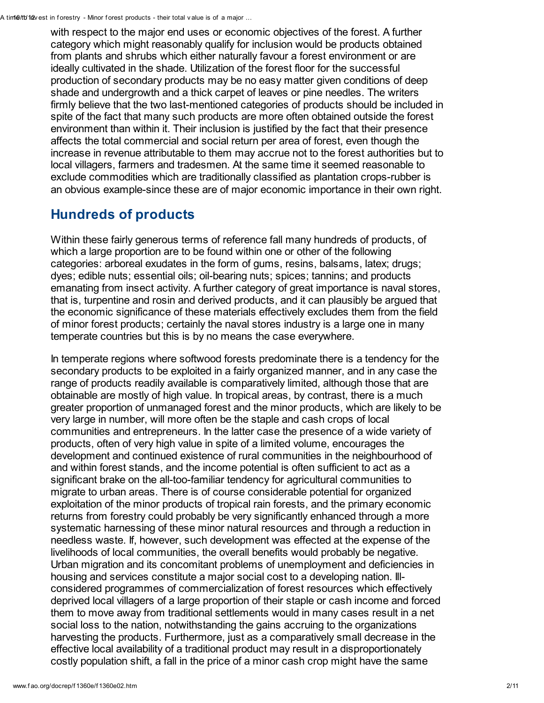with respect to the major end uses or economic objectives of the forest. A further category which might reasonably qualify for inclusion would be products obtained from plants and shrubs which either naturally favour a forest environment or are ideally cultivated in the shade. Utilization of the forest floor for the successful production of secondary products may be no easy matter given conditions of deep shade and undergrowth and a thick carpet of leaves or pine needles. The writers firmly believe that the two last-mentioned categories of products should be included in spite of the fact that many such products are more often obtained outside the forest environment than within it. Their inclusion is justified by the fact that their presence affects the total commercial and social return per area of forest, even though the increase in revenue attributable to them may accrue not to the forest authorities but to local villagers, farmers and tradesmen. At the same time it seemed reasonable to exclude commodities which are traditionally classified as plantation crops-rubber is an obvious example-since these are of major economic importance in their own right.

## Hundreds of products

Within these fairly generous terms of reference fall many hundreds of products, of which a large proportion are to be found within one or other of the following categories: arboreal exudates in the form of gums, resins, balsams, latex; drugs; dyes; edible nuts; essential oils; oil-bearing nuts; spices; tannins; and products emanating from insect activity. A further category of great importance is naval stores, that is, turpentine and rosin and derived products, and it can plausibly be argued that the economic significance of these materials effectively excludes them from the field of minor forest products; certainly the naval stores industry is a large one in many temperate countries but this is by no means the case everywhere.

In temperate regions where softwood forests predominate there is a tendency for the secondary products to be exploited in a fairly organized manner, and in any case the range of products readily available is comparatively limited, although those that are obtainable are mostly of high value. In tropical areas, by contrast, there is a much greater proportion of unmanaged forest and the minor products, which are likely to be very large in number, will more often be the staple and cash crops of local communities and entrepreneurs. In the latter case the presence of a wide variety of products, often of very high value in spite of a limited volume, encourages the development and continued existence of rural communities in the neighbourhood of and within forest stands, and the income potential is often sufficient to act as a significant brake on the all-too-familiar tendency for agricultural communities to migrate to urban areas. There is of course considerable potential for organized exploitation of the minor products of tropical rain forests, and the primary economic returns from forestry could probably be very significantly enhanced through a more systematic harnessing of these minor natural resources and through a reduction in needless waste. If, however, such development was effected at the expense of the livelihoods of local communities, the overall benefits would probably be negative. Urban migration and its concomitant problems of unemployment and deficiencies in housing and services constitute a major social cost to a developing nation. Illconsidered programmes of commercialization of forest resources which effectively deprived local villagers of a large proportion of their staple or cash income and forced them to move away from traditional settlements would in many cases result in a net social loss to the nation, notwithstanding the gains accruing to the organizations harvesting the products. Furthermore, just as a comparatively small decrease in the effective local availability of a traditional product may result in a disproportionately costly population shift, a fall in the price of a minor cash crop might have the same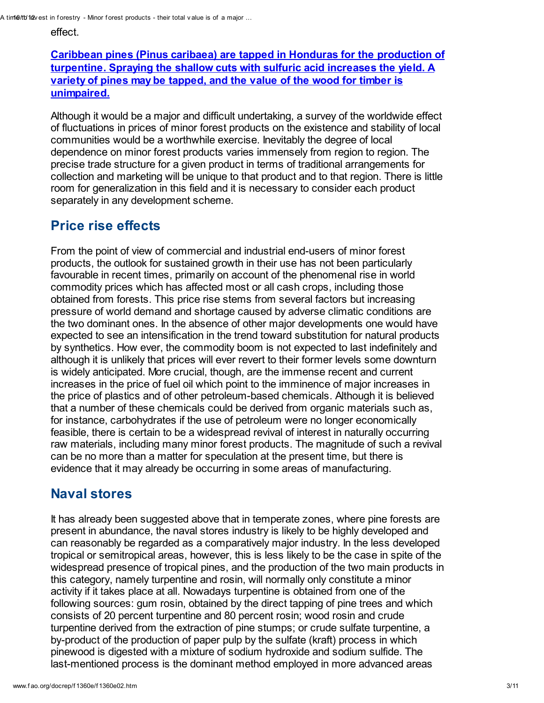A tim1e/tb/12v est in forestry - Minor forest products - their total v alue is of a major ...

effect.

Caribbean pines (Pinus caribaea) are tapped in Honduras for the production of turpentine. Spraying the shallow cuts with sulfuric acid increases the yield. A variety of pines may be tapped, and the value of the wood for timber is [unimpaired.](http://www.fao.org/docrep/f1360e/f1360e06.jpg)

Although it would be a major and difficult undertaking, a survey of the worldwide effect of fluctuations in prices of minor forest products on the existence and stability of local communities would be a worthwhile exercise. Inevitably the degree of local dependence on minor forest products varies immensely from region to region. The precise trade structure for a given product in terms of traditional arrangements for collection and marketing will be unique to that product and to that region. There is little room for generalization in this field and it is necessary to consider each product separately in any development scheme.

#### Price rise effects

From the point of view of commercial and industrial end-users of minor forest products, the outlook for sustained growth in their use has not been particularly favourable in recent times, primarily on account of the phenomenal rise in world commodity prices which has affected most or all cash crops, including those obtained from forests. This price rise stems from several factors but increasing pressure of world demand and shortage caused by adverse climatic conditions are the two dominant ones. In the absence of other major developments one would have expected to see an intensification in the trend toward substitution for natural products by synthetics. How ever, the commodity boom is not expected to last indefinitely and although it is unlikely that prices will ever revert to their former levels some downturn is widely anticipated. More crucial, though, are the immense recent and current increases in the price of fuel oil which point to the imminence of major increases in the price of plastics and of other petroleum-based chemicals. Although it is believed that a number of these chemicals could be derived from organic materials such as, for instance, carbohydrates if the use of petroleum were no longer economically feasible, there is certain to be a widespread revival of interest in naturally occurring raw materials, including many minor forest products. The magnitude of such a revival can be no more than a matter for speculation at the present time, but there is evidence that it may already be occurring in some areas of manufacturing.

# Naval stores

It has already been suggested above that in temperate zones, where pine forests are present in abundance, the naval stores industry is likely to be highly developed and can reasonably be regarded as a comparatively major industry. In the less developed tropical or semitropical areas, however, this is less likely to be the case in spite of the widespread presence of tropical pines, and the production of the two main products in this category, namely turpentine and rosin, will normally only constitute a minor activity if it takes place at all. Nowadays turpentine is obtained from one of the following sources: gum rosin, obtained by the direct tapping of pine trees and which consists of 20 percent turpentine and 80 percent rosin; wood rosin and crude turpentine derived from the extraction of pine stumps; or crude sulfate turpentine, a by-product of the production of paper pulp by the sulfate (kraft) process in which pinewood is digested with a mixture of sodium hydroxide and sodium sulfide. The last-mentioned process is the dominant method employed in more advanced areas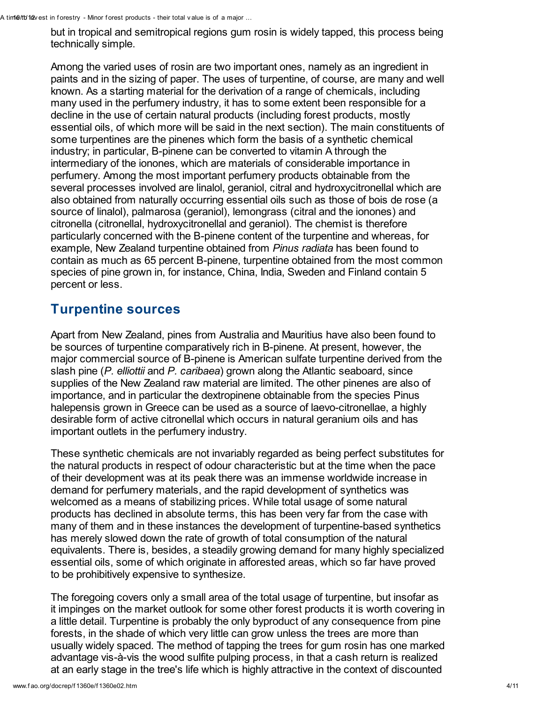but in tropical and semitropical regions gum rosin is widely tapped, this process being technically simple.

Among the varied uses of rosin are two important ones, namely as an ingredient in paints and in the sizing of paper. The uses of turpentine, of course, are many and well known. As a starting material for the derivation of a range of chemicals, including many used in the perfumery industry, it has to some extent been responsible for a decline in the use of certain natural products (including forest products, mostly essential oils, of which more will be said in the next section). The main constituents of some turpentines are the pinenes which form the basis of a synthetic chemical industry; in particular, B-pinene can be converted to vitamin A through the intermediary of the ionones, which are materials of considerable importance in perfumery. Among the most important perfumery products obtainable from the several processes involved are linalol, geraniol, citral and hydroxycitronellal which are also obtained from naturally occurring essential oils such as those of bois de rose (a source of linalol), palmarosa (geraniol), lemongrass (citral and the ionones) and citronella (citronellal, hydroxycitronellal and geraniol). The chemist is therefore particularly concerned with the B-pinene content of the turpentine and whereas, for example, New Zealand turpentine obtained from *Pinus radiata* has been found to contain as much as 65 percent B-pinene, turpentine obtained from the most common species of pine grown in, for instance, China, India, Sweden and Finland contain 5 percent or less.

#### Turpentine sources

Apart from New Zealand, pines from Australia and Mauritius have also been found to be sources of turpentine comparatively rich in B-pinene. At present, however, the major commercial source of B-pinene is American sulfate turpentine derived from the slash pine (P. elliottii and P. caribaea) grown along the Atlantic seaboard, since supplies of the New Zealand raw material are limited. The other pinenes are also of importance, and in particular the dextropinene obtainable from the species Pinus halepensis grown in Greece can be used as a source of laevo-citronellae, a highly desirable form of active citronellal which occurs in natural geranium oils and has important outlets in the perfumery industry.

These synthetic chemicals are not invariably regarded as being perfect substitutes for the natural products in respect of odour characteristic but at the time when the pace of their development was at its peak there was an immense worldwide increase in demand for perfumery materials, and the rapid development of synthetics was welcomed as a means of stabilizing prices. While total usage of some natural products has declined in absolute terms, this has been very far from the case with many of them and in these instances the development of turpentine-based synthetics has merely slowed down the rate of growth of total consumption of the natural equivalents. There is, besides, a steadily growing demand for many highly specialized essential oils, some of which originate in afforested areas, which so far have proved to be prohibitively expensive to synthesize.

The foregoing covers only a small area of the total usage of turpentine, but insofar as it impinges on the market outlook for some other forest products it is worth covering in a little detail. Turpentine is probably the only byproduct of any consequence from pine forests, in the shade of which very little can grow unless the trees are more than usually widely spaced. The method of tapping the trees for gum rosin has one marked advantage vis-à-vis the wood sulfite pulping process, in that a cash return is realized at an early stage in the tree's life which is highly attractive in the context of discounted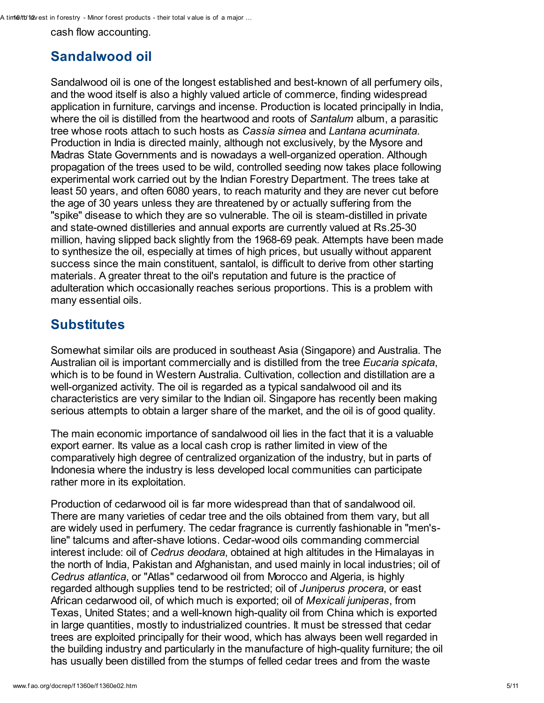A tim10/tb/12x est in forestry - Minor forest products - their total v alue is of a major ...

cash flow accounting.

#### Sandalwood oil

Sandalwood oil is one of the longest established and best-known of all perfumery oils, and the wood itself is also a highly valued article of commerce, finding widespread application in furniture, carvings and incense. Production is located principally in India, where the oil is distilled from the heartwood and roots of Santalum album, a parasitic tree whose roots attach to such hosts as Cassia simea and Lantana acuminata. Production in India is directed mainly, although not exclusively, by the Mysore and Madras State Governments and is nowadays a well-organized operation. Although propagation of the trees used to be wild, controlled seeding now takes place following experimental work carried out by the Indian Forestry Department. The trees take at least 50 years, and often 6080 years, to reach maturity and they are never cut before the age of 30 years unless they are threatened by or actually suffering from the "spike" disease to which they are so vulnerable. The oil is steam-distilled in private and state-owned distilleries and annual exports are currently valued at Rs.25-30 million, having slipped back slightly from the 1968-69 peak. Attempts have been made to synthesize the oil, especially at times of high prices, but usually without apparent success since the main constituent, santalol, is difficult to derive from other starting materials. A greater threat to the oil's reputation and future is the practice of adulteration which occasionally reaches serious proportions. This is a problem with many essential oils.

## **Substitutes**

Somewhat similar oils are produced in southeast Asia (Singapore) and Australia. The Australian oil is important commercially and is distilled from the tree *Eucaria spicata*, which is to be found in Western Australia. Cultivation, collection and distillation are a well-organized activity. The oil is regarded as a typical sandalwood oil and its characteristics are very similar to the Indian oil. Singapore has recently been making serious attempts to obtain a larger share of the market, and the oil is of good quality.

The main economic importance of sandalwood oil lies in the fact that it is a valuable export earner. Its value as a local cash crop is rather limited in view of the comparatively high degree of centralized organization of the industry, but in parts of Indonesia where the industry is less developed local communities can participate rather more in its exploitation.

Production of cedarwood oil is far more widespread than that of sandalwood oil. There are many varieties of cedar tree and the oils obtained from them vary, but all are widely used in perfumery. The cedar fragrance is currently fashionable in "men'sline" talcums and after-shave lotions. Cedar-wood oils commanding commercial interest include: oil of Cedrus deodara, obtained at high altitudes in the Himalayas in the north of India, Pakistan and Afghanistan, and used mainly in local industries; oil of Cedrus atlantica, or "Atlas" cedarwood oil from Morocco and Algeria, is highly regarded although supplies tend to be restricted; oil of *Juniperus procera*, or east African cedarwood oil, of which much is exported; oil of Mexicali juniperas, from Texas, United States; and a well-known high-quality oil from China which is exported in large quantities, mostly to industrialized countries. It must be stressed that cedar trees are exploited principally for their wood, which has always been well regarded in the building industry and particularly in the manufacture of high-quality furniture; the oil has usually been distilled from the stumps of felled cedar trees and from the waste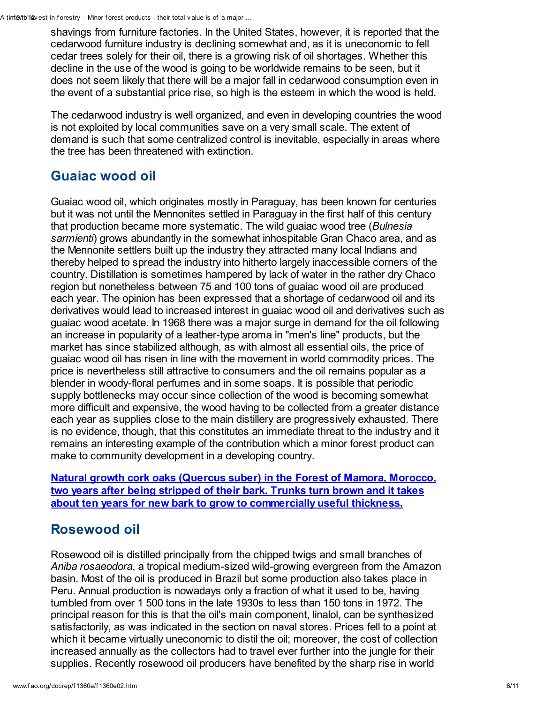shavings from furniture factories. In the United States, however, it is reported that the cedarwood furniture industry is declining somewhat and, as it is uneconomic to fell cedar trees solely for their oil, there is a growing risk of oil shortages. Whether this decline in the use of the wood is going to be worldwide remains to be seen, but it does not seem likely that there will be a major fall in cedarwood consumption even in the event of a substantial price rise, so high is the esteem in which the wood is held.

The cedarwood industry is well organized, and even in developing countries the wood is not exploited by local communities save on a very small scale. The extent of demand is such that some centralized control is inevitable, especially in areas where the tree has been threatened with extinction.

## Guaiac wood oil

Guaiac wood oil, which originates mostly in Paraguay, has been known for centuries but it was not until the Mennonites settled in Paraguay in the first half of this century that production became more systematic. The wild quaiac wood tree (Bulnesia sarmienti) grows abundantly in the somewhat inhospitable Gran Chaco area, and as the Mennonite settlers built up the industry they attracted many local Indians and thereby helped to spread the industry into hitherto largely inaccessible corners of the country. Distillation is sometimes hampered by lack of water in the rather dry Chaco region but nonetheless between 75 and 100 tons of guaiac wood oil are produced each year. The opinion has been expressed that a shortage of cedarwood oil and its derivatives would lead to increased interest in guaiac wood oil and derivatives such as guaiac wood acetate. In 1968 there was a major surge in demand for the oil following an increase in popularity of a leather-type aroma in "men's line" products, but the market has since stabilized although, as with almost all essential oils, the price of guaiac wood oil has risen in line with the movement in world commodity prices. The price is nevertheless still attractive to consumers and the oil remains popular as a blender in woody-floral perfumes and in some soaps. It is possible that periodic supply bottlenecks may occur since collection of the wood is becoming somewhat more difficult and expensive, the wood having to be collected from a greater distance each year as supplies close to the main distillery are progressively exhausted. There is no evidence, though, that this constitutes an immediate threat to the industry and it remains an interesting example of the contribution which a minor forest product can make to community development in a developing country.

Natural growth cork oaks (Quercus suber) in the Forest of Mamora, Morocco, two years after being stripped of their bark. Trunks turn brown and it takes about ten years for new bark to grow to [commercially](http://www.fao.org/docrep/f1360e/f1360e07.jpg) useful thickness.

#### Rosewood oil

Rosewood oil is distilled principally from the chipped twigs and small branches of Aniba rosaeodora, a tropical medium-sized wild-growing evergreen from the Amazon basin. Most of the oil is produced in Brazil but some production also takes place in Peru. Annual production is nowadays only a fraction of what it used to be, having tumbled from over 1 500 tons in the late 1930s to less than 150 tons in 1972. The principal reason for this is that the oil's main component, linalol, can be synthesized satisfactorily, as was indicated in the section on naval stores. Prices fell to a point at which it became virtually uneconomic to distil the oil; moreover, the cost of collection increased annually as the collectors had to travel ever further into the jungle for their supplies. Recently rosewood oil producers have benefited by the sharp rise in world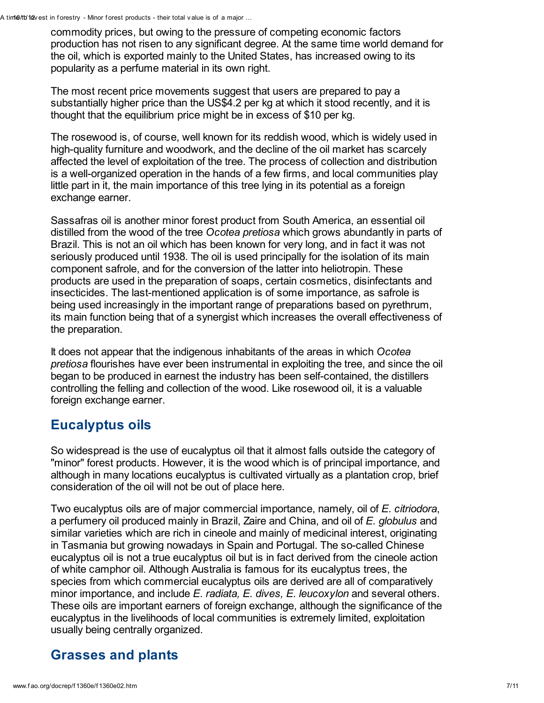commodity prices, but owing to the pressure of competing economic factors production has not risen to any significant degree. At the same time world demand for the oil, which is exported mainly to the United States, has increased owing to its popularity as a perfume material in its own right.

The most recent price movements suggest that users are prepared to pay a substantially higher price than the US\$4.2 per kg at which it stood recently, and it is thought that the equilibrium price might be in excess of \$10 per kg.

The rosewood is, of course, well known for its reddish wood, which is widely used in high-quality furniture and woodwork, and the decline of the oil market has scarcely affected the level of exploitation of the tree. The process of collection and distribution is a well-organized operation in the hands of a few firms, and local communities play little part in it, the main importance of this tree lying in its potential as a foreign exchange earner.

Sassafras oil is another minor forest product from South America, an essential oil distilled from the wood of the tree Ocotea pretiosa which grows abundantly in parts of Brazil. This is not an oil which has been known for very long, and in fact it was not seriously produced until 1938. The oil is used principally for the isolation of its main component safrole, and for the conversion of the latter into heliotropin. These products are used in the preparation of soaps, certain cosmetics, disinfectants and insecticides. The last-mentioned application is of some importance, as safrole is being used increasingly in the important range of preparations based on pyrethrum, its main function being that of a synergist which increases the overall effectiveness of the preparation.

It does not appear that the indigenous inhabitants of the areas in which Ocotea pretiosa flourishes have ever been instrumental in exploiting the tree, and since the oil began to be produced in earnest the industry has been self-contained, the distillers controlling the felling and collection of the wood. Like rosewood oil, it is a valuable foreign exchange earner.

#### Eucalyptus oils

So widespread is the use of eucalyptus oil that it almost falls outside the category of "minor" forest products. However, it is the wood which is of principal importance, and although in many locations eucalyptus is cultivated virtually as a plantation crop, brief consideration of the oil will not be out of place here.

Two eucalyptus oils are of major commercial importance, namely, oil of E. citriodora, a perfumery oil produced mainly in Brazil, Zaire and China, and oil of E. globulus and similar varieties which are rich in cineole and mainly of medicinal interest, originating in Tasmania but growing nowadays in Spain and Portugal. The so-called Chinese eucalyptus oil is not a true eucalyptus oil but is in fact derived from the cineole action of white camphor oil. Although Australia is famous for its eucalyptus trees, the species from which commercial eucalyptus oils are derived are all of comparatively minor importance, and include  $E$ . radiata,  $E$ . dives,  $E$ . leucoxylon and several others. These oils are important earners of foreign exchange, although the significance of the eucalyptus in the livelihoods of local communities is extremely limited, exploitation usually being centrally organized.

# Grasses and plants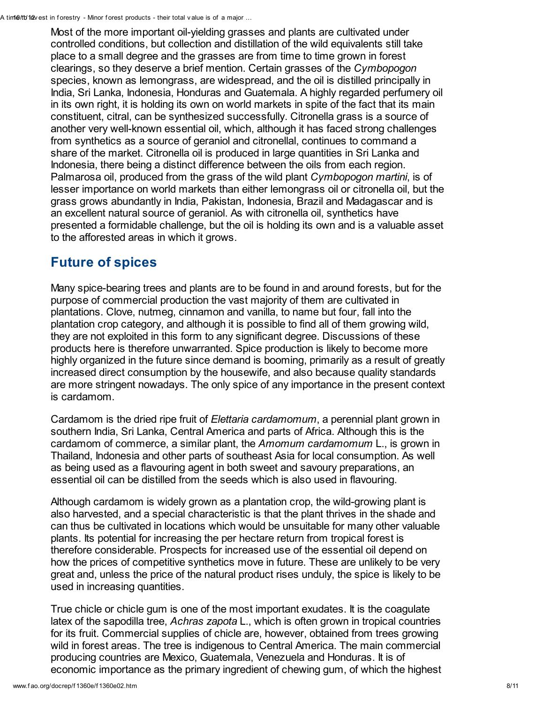Most of the more important oil-yielding grasses and plants are cultivated under controlled conditions, but collection and distillation of the wild equivalents still take place to a small degree and the grasses are from time to time grown in forest clearings, so they deserve a brief mention. Certain grasses of the Cymbopogon species, known as lemongrass, are widespread, and the oil is distilled principally in India, Sri Lanka, Indonesia, Honduras and Guatemala. A highly regarded perfumery oil in its own right, it is holding its own on world markets in spite of the fact that its main constituent, citral, can be synthesized successfully. Citronella grass is a source of another very well-known essential oil, which, although it has faced strong challenges from synthetics as a source of geraniol and citronellal, continues to command a share of the market. Citronella oil is produced in large quantities in Sri Lanka and Indonesia, there being a distinct difference between the oils from each region. Palmarosa oil, produced from the grass of the wild plant Cymbopogon martini, is of lesser importance on world markets than either lemongrass oil or citronella oil, but the grass grows abundantly in India, Pakistan, Indonesia, Brazil and Madagascar and is an excellent natural source of geraniol. As with citronella oil, synthetics have presented a formidable challenge, but the oil is holding its own and is a valuable asset to the afforested areas in which it grows.

## Future of spices

Many spice-bearing trees and plants are to be found in and around forests, but for the purpose of commercial production the vast majority of them are cultivated in plantations. Clove, nutmeg, cinnamon and vanilla, to name but four, fall into the plantation crop category, and although it is possible to find all of them growing wild, they are not exploited in this form to any significant degree. Discussions of these products here is therefore unwarranted. Spice production is likely to become more highly organized in the future since demand is booming, primarily as a result of greatly increased direct consumption by the housewife, and also because quality standards are more stringent nowadays. The only spice of any importance in the present context is cardamom.

Cardamom is the dried ripe fruit of Elettaria cardamomum, a perennial plant grown in southern India, Sri Lanka, Central America and parts of Africa. Although this is the cardamom of commerce, a similar plant, the Amomum cardamomum L., is grown in Thailand, Indonesia and other parts of southeast Asia for local consumption. As well as being used as a flavouring agent in both sweet and savoury preparations, an essential oil can be distilled from the seeds which is also used in flavouring.

Although cardamom is widely grown as a plantation crop, the wild-growing plant is also harvested, and a special characteristic is that the plant thrives in the shade and can thus be cultivated in locations which would be unsuitable for many other valuable plants. Its potential for increasing the per hectare return from tropical forest is therefore considerable. Prospects for increased use of the essential oil depend on how the prices of competitive synthetics move in future. These are unlikely to be very great and, unless the price of the natural product rises unduly, the spice is likely to be used in increasing quantities.

True chicle or chicle gum is one of the most important exudates. It is the coagulate latex of the sapodilla tree, Achras zapota L., which is often grown in tropical countries for its fruit. Commercial supplies of chicle are, however, obtained from trees growing wild in forest areas. The tree is indigenous to Central America. The main commercial producing countries are Mexico, Guatemala, Venezuela and Honduras. It is of economic importance as the primary ingredient of chewing gum, of which the highest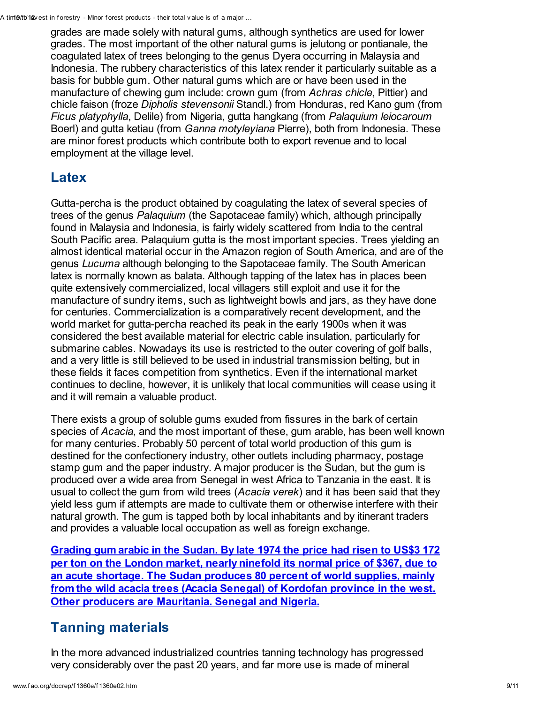grades are made solely with natural gums, although synthetics are used for lower grades. The most important of the other natural gums is jelutong or pontianale, the coagulated latex of trees belonging to the genus Dyera occurring in Malaysia and Indonesia. The rubbery characteristics of this latex render it particularly suitable as a basis for bubble gum. Other natural gums which are or have been used in the manufacture of chewing gum include: crown gum (from Achras chicle, Pittier) and chicle faison (froze Dipholis stevensonii Standl.) from Honduras, red Kano gum (from Ficus platyphylla, Delile) from Nigeria, gutta hangkang (from Palaquium leiocaroum Boerl) and gutta ketiau (from *Ganna motyleyiana* Pierre), both from Indonesia. These are minor forest products which contribute both to export revenue and to local employment at the village level.

#### Latex

Gutta-percha is the product obtained by coagulating the latex of several species of trees of the genus Palaquium (the Sapotaceae family) which, although principally found in Malaysia and Indonesia, is fairly widely scattered from India to the central South Pacific area. Palaquium gutta is the most important species. Trees yielding an almost identical material occur in the Amazon region of South America, and are of the genus Lucuma although belonging to the Sapotaceae family. The South American latex is normally known as balata. Although tapping of the latex has in places been quite extensively commercialized, local villagers still exploit and use it for the manufacture of sundry items, such as lightweight bowls and jars, as they have done for centuries. Commercialization is a comparatively recent development, and the world market for gutta-percha reached its peak in the early 1900s when it was considered the best available material for electric cable insulation, particularly for submarine cables. Nowadays its use is restricted to the outer covering of golf balls, and a very little is still believed to be used in industrial transmission belting, but in these fields it faces competition from synthetics. Even if the international market continues to decline, however, it is unlikely that local communities will cease using it and it will remain a valuable product.

There exists a group of soluble gums exuded from fissures in the bark of certain species of Acacia, and the most important of these, gum arable, has been well known for many centuries. Probably 50 percent of total world production of this gum is destined for the confectionery industry, other outlets including pharmacy, postage stamp gum and the paper industry. A major producer is the Sudan, but the gum is produced over a wide area from Senegal in west Africa to Tanzania in the east. It is usual to collect the gum from wild trees (Acacia verek) and it has been said that they yield less gum if attempts are made to cultivate them or otherwise interfere with their natural growth. The gum is tapped both by local inhabitants and by itinerant traders and provides a valuable local occupation as well as foreign exchange.

Grading gum arabic in the Sudan. By late 1974 the price had risen to US\$3 172 per ton on the London market, nearly ninefold its normal price of \$367, due to an acute shortage. The Sudan produces 80 percent of world supplies, mainly from the wild acacia trees (Acacia Senegal) of Kordofan province in the west. Other producers are [Mauritania.](http://www.fao.org/docrep/f1360e/f1360e08.jpg) Senegal and Nigeria.

#### Tanning materials

In the more advanced industrialized countries tanning technology has progressed very considerably over the past 20 years, and far more use is made of mineral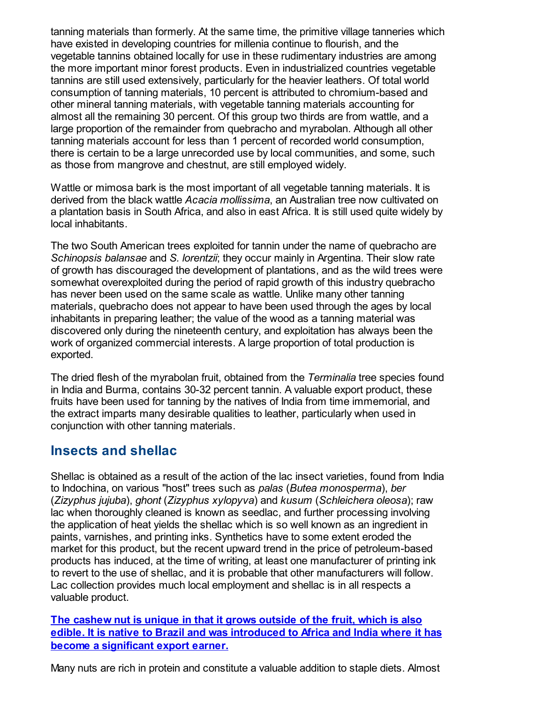tanning materials than formerly. At the same time, the primitive village tanneries which have existed in developing countries for millenia continue to flourish, and the vegetable tannins obtained locally for use in these rudimentary industries are among the more important minor forest products. Even in industrialized countries vegetable tannins are still used extensively, particularly for the heavier leathers. Of total world consumption of tanning materials, 10 percent is attributed to chromium-based and other mineral tanning materials, with vegetable tanning materials accounting for almost all the remaining 30 percent. Of this group two thirds are from wattle, and a large proportion of the remainder from quebracho and myrabolan. Although all other tanning materials account for less than 1 percent of recorded world consumption, there is certain to be a large unrecorded use by local communities, and some, such as those from mangrove and chestnut, are still employed widely.

Wattle or mimosa bark is the most important of all vegetable tanning materials. It is derived from the black wattle Acacia mollissima, an Australian tree now cultivated on a plantation basis in South Africa, and also in east Africa. It is still used quite widely by local inhabitants.

The two South American trees exploited for tannin under the name of quebracho are Schinopsis balansae and S. lorentzii; they occur mainly in Argentina. Their slow rate of growth has discouraged the development of plantations, and as the wild trees were somewhat overexploited during the period of rapid growth of this industry quebracho has never been used on the same scale as wattle. Unlike many other tanning materials, quebracho does not appear to have been used through the ages by local inhabitants in preparing leather; the value of the wood as a tanning material was discovered only during the nineteenth century, and exploitation has always been the work of organized commercial interests. A large proportion of total production is exported.

The dried flesh of the myrabolan fruit, obtained from the Terminalia tree species found in India and Burma, contains 30-32 percent tannin. A valuable export product, these fruits have been used for tanning by the natives of India from time immemorial, and the extract imparts many desirable qualities to leather, particularly when used in conjunction with other tanning materials.

#### Insects and shellac

Shellac is obtained as a result of the action of the lac insect varieties, found from India to Indochina, on various "host" trees such as palas (Butea monosperma), ber (Zizyphus jujuba), ghont (Zizyphus xylopyva) and kusum (Schleichera oleosa); raw lac when thoroughly cleaned is known as seedlac, and further processing involving the application of heat yields the shellac which is so well known as an ingredient in paints, varnishes, and printing inks. Synthetics have to some extent eroded the market for this product, but the recent upward trend in the price of petroleum-based products has induced, at the time of writing, at least one manufacturer of printing ink to revert to the use of shellac, and it is probable that other manufacturers will follow. Lac collection provides much local employment and shellac is in all respects a valuable product.

The cashew nut is unique in that it grows outside of the fruit, which is also edible. It is native to Brazil and was [introduced](http://www.fao.org/docrep/f1360e/f1360e09.jpg) to Africa and India where it has become a significant export earner.

Many nuts are rich in protein and constitute a valuable addition to staple diets. Almost